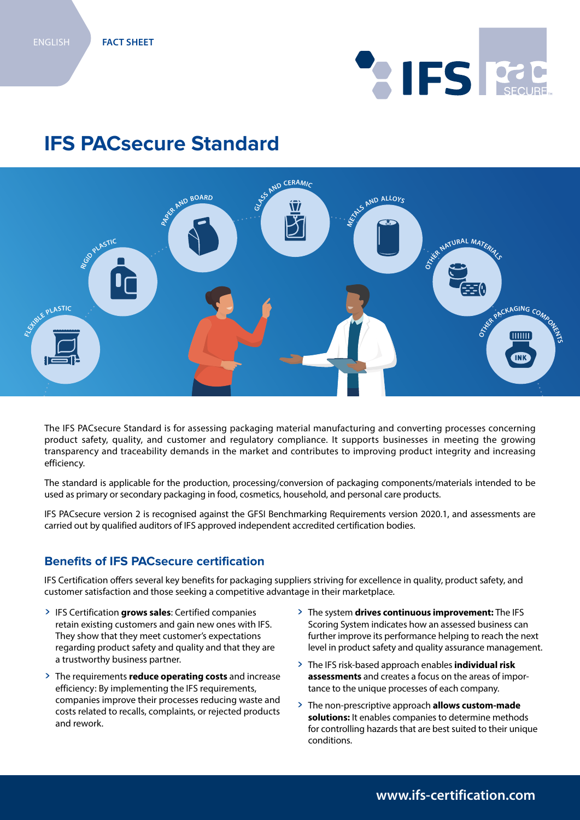# **AIFS RECUR**

## **IFS PACsecure Standard**



The IFS PACsecure Standard is for assessing packaging material manufacturing and converting processes concerning product safety, quality, and customer and regulatory compliance. It supports businesses in meeting the growing transparency and traceability demands in the market and contributes to improving product integrity and increasing efficiency.

The standard is applicable for the production, processing/conversion of packaging components/materials intended to be used as primary or secondary packaging in food, cosmetics, household, and personal care products.

IFS PACsecure version 2 is recognised against the GFSI Benchmarking Requirements version 2020.1, and assessments are carried out by qualified auditors of IFS approved independent accredited certification bodies.

#### **Benefits of IFS PACsecure certification**

IFS Certification offers several key benefits for packaging suppliers striving for excellence in quality, product safety, and customer satisfaction and those seeking a competitive advantage in their marketplace.

- > IFS Certification **grows sales**: Certified companies retain existing customers and gain new ones with IFS. They show that they meet customer's expectations regarding product safety and quality and that they are a trustworthy business partner.
- > The requirements **reduce operating costs** and increase efficiency: By implementing the IFS requirements, companies improve their processes reducing waste and costs related to recalls, complaints, or rejected products and rework.
- > The system **drives continuous improvement:** The IFS Scoring System indicates how an assessed business can further improve its performance helping to reach the next level in product safety and quality assurance management.
- > The IFS risk-based approach enables **individual risk assessments** and creates a focus on the areas of importance to the unique processes of each company.
- > The non-prescriptive approach **allows custom-made solutions:** It enables companies to determine methods for controlling hazards that are best suited to their unique conditions.